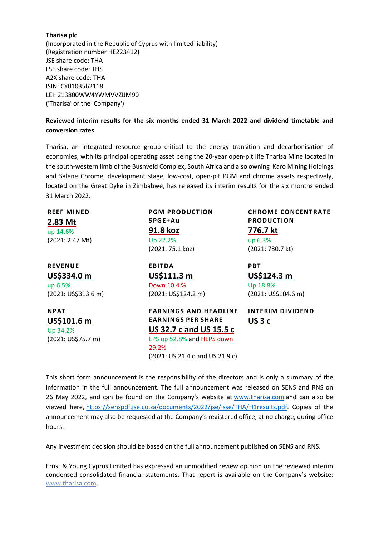#### **Tharisa plc**

(Incorporated in the Republic of Cyprus with limited liability) (Registration number HE223412) JSE share code: THA LSE share code: THS A2X share code: THA ISIN: CY0103562118 LEI: 213800WW4YWMVVZIJM90 ('Tharisa' or the 'Company')

## **Reviewed interim results for the six months ended 31 March 2022 and dividend timetable and conversion rates**

Tharisa, an integrated resource group critical to the energy transition and decarbonisation of economies, with its principal operating asset being the 20-year open-pit life Tharisa Mine located in the south-western limb of the Bushveld Complex, South Africa and also owning Karo Mining Holdings and Salene Chrome, development stage, low-cost, open-pit PGM and chrome assets respectively, located on the Great Dyke in Zimbabwe, has released its interim results for the six months ended 31 March 2022.

| <b>REEF MINED</b><br>2.83 Mt<br>up 14.6%<br>(2021: 2.47 Mt)     | <b>PGM PRODUCTION</b><br>5PGE+Au<br>91.8 koz<br>Up 22.2%<br>(2021: 75.1 koz)                                                                                          | <b>CHROME CONCENTRATE</b><br><b>PRODUCTION</b><br>776.7 kt<br>up 6.3%<br>(2021: 730.7 kt) |
|-----------------------------------------------------------------|-----------------------------------------------------------------------------------------------------------------------------------------------------------------------|-------------------------------------------------------------------------------------------|
| <b>REVENUE</b><br>US\$334.0 m<br>up 6.5%<br>(2021: US\$313.6 m) | <b>EBITDA</b><br>US\$111.3 m<br>Down 10.4 %<br>(2021: US\$124.2 m)                                                                                                    | <b>PBT</b><br>US\$124.3 m<br>Up 18.8%<br>(2021: US\$104.6 m)                              |
| <b>NPAT</b><br>US\$101.6 m<br>Up 34.2%<br>(2021: US\$75.7 m)    | <b>EARNINGS AND HEADLINE</b><br><b>EARNINGS PER SHARE</b><br><b>US 32.7 c and US 15.5 c</b><br>EPS up 52.8% and HEPS down<br>29.2%<br>(2021: US 21.4 c and US 21.9 c) | <b>INTERIM DIVIDEND</b><br>US <sub>3</sub> c                                              |

This short form announcement is the responsibility of the directors and is only a summary of the information in the full announcement. The full announcement was released on SENS and RNS on 26 May 2022, and can be found on the Company's website at [www.tharisa.com](http://www.tharisa.com/) and can also be viewed here, [https://senspdf.jse.co.za/documents/2022/jse/isse/THA/H1results.pdf.](https://senspdf.jse.co.za/documents/2022/jse/isse/THA/H1results.pdf) Copies of the announcement may also be requested at the Company's registered office, at no charge, during office hours.

Any investment decision should be based on the full announcement published on SENS and RNS.

Ernst & Young Cyprus Limited has expressed an unmodified review opinion on the reviewed interim condensed consolidated financial statements. That report is available on the Company's website: [www.tharisa.com.](http://www.tharisa.com/)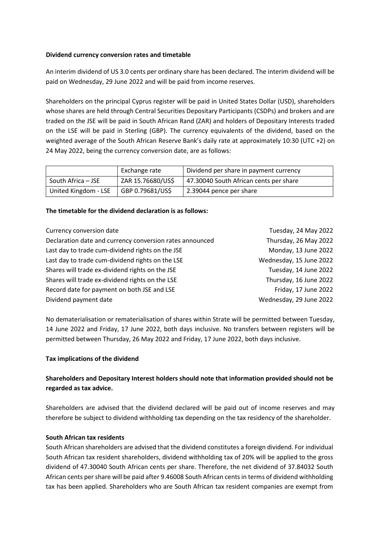## **Dividend currency conversion rates and timetable**

An interim dividend of US 3.0 cents per ordinary share has been declared. The interim dividend will be paid on Wednesday, 29 June 2022 and will be paid from income reserves.

Shareholders on the principal Cyprus register will be paid in United States Dollar (USD), shareholders whose shares are held through Central Securities Depositary Participants (CSDPs) and brokers and are traded on the JSE will be paid in South African Rand (ZAR) and holders of Depositary Interests traded on the LSE will be paid in Sterling (GBP). The currency equivalents of the dividend, based on the weighted average of the South African Reserve Bank's daily rate at approximately 10:30 (UTC +2) on 24 May 2022, being the currency conversion date, are as follows:

|                      | Exchange rate     | Dividend per share in payment currency |
|----------------------|-------------------|----------------------------------------|
| South Africa – JSE   | ZAR 15.76680/US\$ | 47.30040 South African cents per share |
| United Kingdom - LSE | GBP 0.79681/US\$  | 2.39044 pence per share                |

### **The timetable for the dividend declaration is as follows:**

| Currency conversion date                                 | Tuesday, 24 May 2022    |
|----------------------------------------------------------|-------------------------|
| Declaration date and currency conversion rates announced | Thursday, 26 May 2022   |
| Last day to trade cum-dividend rights on the JSE         | Monday, 13 June 2022    |
| Last day to trade cum-dividend rights on the LSE         | Wednesday, 15 June 2022 |
| Shares will trade ex-dividend rights on the JSE          | Tuesday, 14 June 2022   |
| Shares will trade ex-dividend rights on the LSE          | Thursday, 16 June 2022  |
| Record date for payment on both JSE and LSE              | Friday, 17 June 2022    |
| Dividend payment date                                    | Wednesday, 29 June 2022 |

No dematerialisation or rematerialisation of shares within Strate will be permitted between Tuesday, 14 June 2022 and Friday, 17 June 2022, both days inclusive. No transfers between registers will be permitted between Thursday, 26 May 2022 and Friday, 17 June 2022, both days inclusive.

### **Tax implications of the dividend**

# **Shareholders and Depositary Interest holders should note that information provided should not be regarded as tax advice.**

Shareholders are advised that the dividend declared will be paid out of income reserves and may therefore be subject to dividend withholding tax depending on the tax residency of the shareholder.

## **South African tax residents**

South African shareholders are advised that the dividend constitutes a foreign dividend. For individual South African tax resident shareholders, dividend withholding tax of 20% will be applied to the gross dividend of 47.30040 South African cents per share. Therefore, the net dividend of 37.84032 South African cents per share will be paid after 9.46008 South African cents in terms of dividend withholding tax has been applied. Shareholders who are South African tax resident companies are exempt from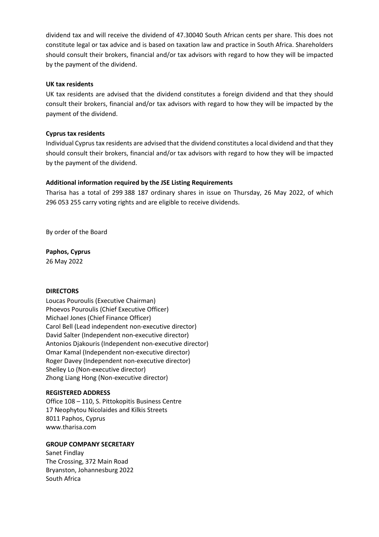dividend tax and will receive the dividend of 47.30040 South African cents per share. This does not constitute legal or tax advice and is based on taxation law and practice in South Africa. Shareholders should consult their brokers, financial and/or tax advisors with regard to how they will be impacted by the payment of the dividend.

### **UK tax residents**

UK tax residents are advised that the dividend constitutes a foreign dividend and that they should consult their brokers, financial and/or tax advisors with regard to how they will be impacted by the payment of the dividend.

## **Cyprus tax residents**

Individual Cyprus tax residents are advised that the dividend constitutes a local dividend and that they should consult their brokers, financial and/or tax advisors with regard to how they will be impacted by the payment of the dividend.

## **Additional information required by the JSE Listing Requirements**

Tharisa has a total of 299 388 187 ordinary shares in issue on Thursday, 26 May 2022, of which 296 053 255 carry voting rights and are eligible to receive dividends.

By order of the Board

**Paphos, Cyprus**

26 May 2022

## **DIRECTORS**

Loucas Pouroulis (Executive Chairman) Phoevos Pouroulis (Chief Executive Officer) Michael Jones (Chief Finance Officer) Carol Bell (Lead independent non-executive director) David Salter (Independent non-executive director) Antonios Djakouris (Independent non-executive director) Omar Kamal (Independent non-executive director) Roger Davey (Independent non-executive director) Shelley Lo (Non-executive director) Zhong Liang Hong (Non-executive director)

### **REGISTERED ADDRESS**

Office 108 – 110, S. Pittokopitis Business Centre 17 Neophytou Nicolaides and Kilkis Streets 8011 Paphos, Cyprus www.tharisa.com

## **GROUP COMPANY SECRETARY**

Sanet Findlay The Crossing, 372 Main Road Bryanston, Johannesburg 2022 South Africa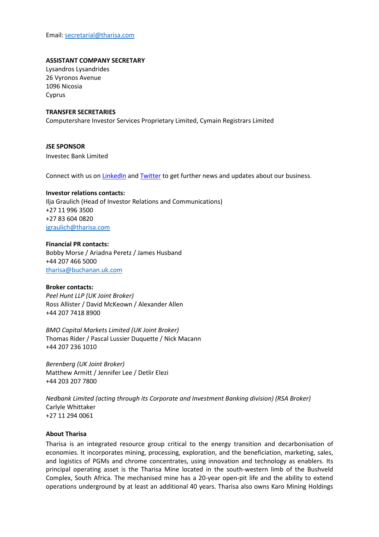Email: [secretarial@tharisa.com](mailto:secretarial@tharisa.com)

#### **ASSISTANT COMPANY SECRETARY**

Lysandros Lysandrides 26 Vyronos Avenue 1096 Nicosia Cyprus

#### **TRANSFER SECRETARIES**

Computershare Investor Services Proprietary Limited, Cymain Registrars Limited

**JSE SPONSOR** Investec Bank Limited

Connect with us on [LinkedIn](https://protect-za.mimecast.com/s/Hc4jCJZK7oIYv07fVi1n3?domain=linkedin.com) and **[Twitter](https://protect-za.mimecast.com/s/hll5CKO75pfnN3jUvSAEZ?domain=twitter.com)** to get further news and updates about our business.

## **Investor relations contacts:**

Ilja Graulich (Head of Investor Relations and Communications) +27 11 996 3500 +27 83 604 0820 [igraulich@tharisa.com](mailto:igraulich@tharisa.com)

#### **Financial PR contacts:**

Bobby Morse / Ariadna Peretz / James Husband +44 207 466 5000 [tharisa@buchanan.uk.com](mailto:tharisa@buchanan.uk.com)

#### **Broker contacts:**

*Peel Hunt LLP (UK Joint Broker)* Ross Allister / David McKeown / Alexander Allen +44 207 7418 8900

*BMO Capital Markets Limited (UK Joint Broker)* Thomas Rider / Pascal Lussier Duquette / Nick Macann +44 207 236 1010

*Berenberg (UK Joint Broker)* Matthew Armitt / Jennifer Lee / Detlir Elezi +44 203 207 7800

*Nedbank Limited (acting through its Corporate and Investment Banking division) (RSA Broker)* Carlyle Whittaker +27 11 294 0061

#### **About Tharisa**

Tharisa is an integrated resource group critical to the energy transition and decarbonisation of economies. It incorporates mining, processing, exploration, and the beneficiation, marketing, sales, and logistics of PGMs and chrome concentrates, using innovation and technology as enablers. Its principal operating asset is the Tharisa Mine located in the south-western limb of the Bushveld Complex, South Africa. The mechanised mine has a 20-year open-pit life and the ability to extend operations underground by at least an additional 40 years. Tharisa also owns Karo Mining Holdings